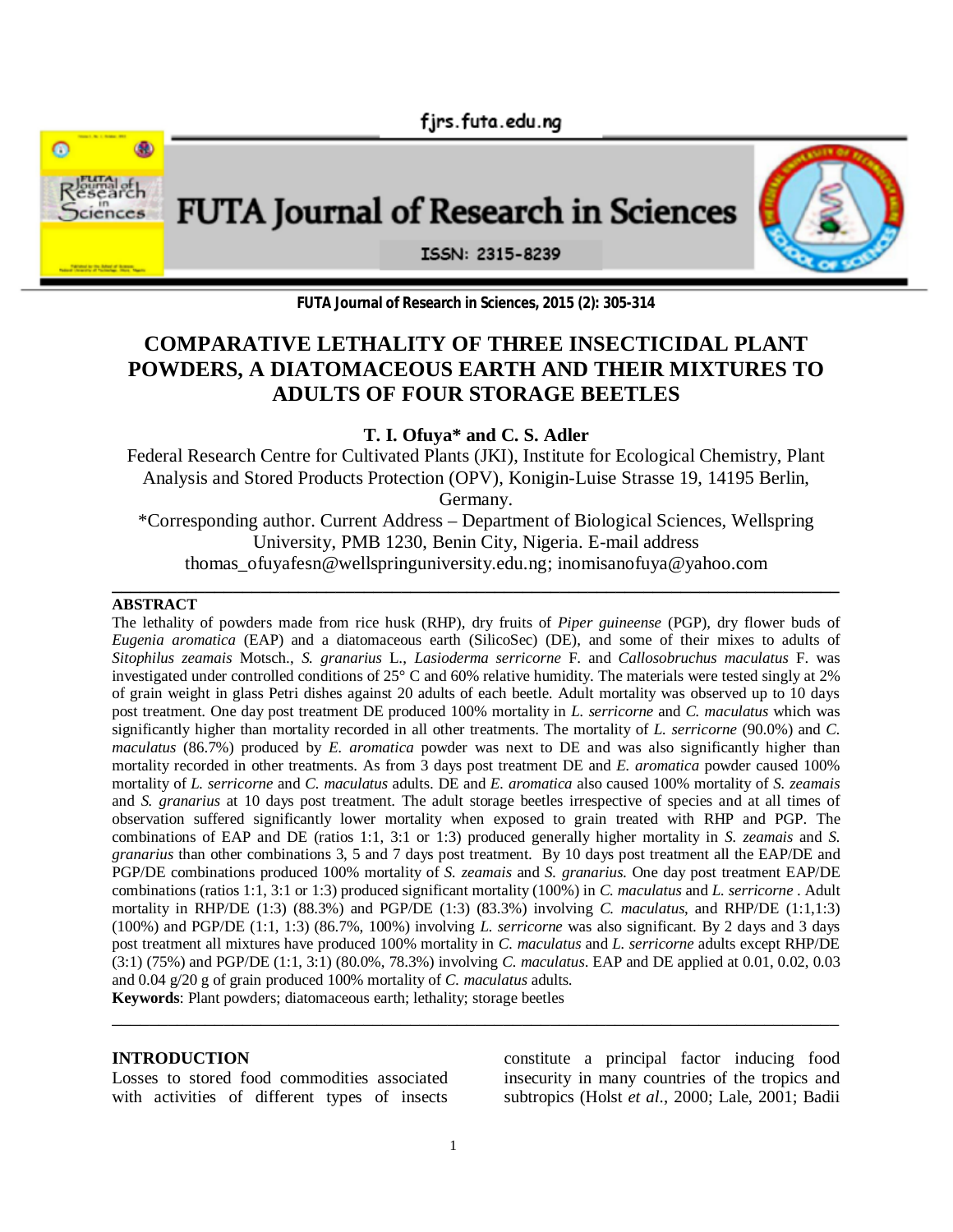firs.futa.edu.ng



**FUTA Journal of Research in Sciences, 2015 (2): 305-314**

# **COMPARATIVE LETHALITY OF THREE INSECTICIDAL PLANT POWDERS, A DIATOMACEOUS EARTH AND THEIR MIXTURES TO ADULTS OF FOUR STORAGE BEETLES**

**T. I. Ofuya\* and C. S. Adler**

Federal Research Centre for Cultivated Plants (JKI), Institute for Ecological Chemistry, Plant Analysis and Stored Products Protection (OPV), Konigin-Luise Strasse 19, 14195 Berlin, Germany.

\*Corresponding author. Current Address – Department of Biological Sciences, Wellspring University, PMB 1230, Benin City, Nigeria. E-mail address thomas\_ofuyafesn@wellspringuniversity.edu.ng; inomisanofuya@yahoo.com

### **\_\_\_\_\_\_\_\_\_\_\_\_\_\_\_\_\_\_\_\_\_\_\_\_\_\_\_\_\_\_\_\_\_\_\_\_\_\_\_\_\_\_\_\_\_\_\_\_\_\_\_\_\_\_\_\_\_\_\_\_\_\_\_\_\_\_\_\_\_\_\_\_\_\_\_\_\_\_ ABSTRACT**

The lethality of powders made from rice husk (RHP), dry fruits of *Piper guineense* (PGP), dry flower buds of *Eugenia aromatica* (EAP) and a diatomaceous earth (SilicoSec) (DE), and some of their mixes to adults of *Sitophilus zeamais* Motsch., *S. granarius* L., *Lasioderma serricorne* F. and *Callosobruchus maculatus* F. was investigated under controlled conditions of 25° C and 60% relative humidity. The materials were tested singly at 2% of grain weight in glass Petri dishes against 20 adults of each beetle. Adult mortality was observed up to 10 days post treatment. One day post treatment DE produced 100% mortality in *L. serricorne* and *C. maculatus* which was significantly higher than mortality recorded in all other treatments. The mortality of *L. serricorne* (90.0%) and *C. maculatus* (86.7%) produced by *E. aromatica* powder was next to DE and was also significantly higher than mortality recorded in other treatments. As from 3 days post treatment DE and *E. aromatica* powder caused 100% mortality of *L. serricorne* and *C. maculatus* adults. DE and *E. aromatica* also caused 100% mortality of *S. zeamais* and *S. granarius* at 10 days post treatment. The adult storage beetles irrespective of species and at all times of observation suffered significantly lower mortality when exposed to grain treated with RHP and PGP. The combinations of EAP and DE (ratios 1:1, 3:1 or 1:3) produced generally higher mortality in *S. zeamais* and *S. granarius* than other combinations 3, 5 and 7 days post treatment. By 10 days post treatment all the EAP/DE and PGP/DE combinations produced 100% mortality of *S. zeamais* and *S. granarius*. One day post treatment EAP/DE combinations (ratios 1:1, 3:1 or 1:3) produced significant mortality (100%) in *C. maculatus* and *L. serricorne* . Adult mortality in RHP/DE (1:3) (88.3%) and PGP/DE (1:3) (83.3%) involving *C. maculatus*, and RHP/DE (1:1,1:3) (100%) and PGP/DE (1:1, 1:3) (86.7%, 100%) involving *L. serricorne* was also significant. By 2 days and 3 days post treatment all mixtures have produced 100% mortality in *C. maculatus* and *L. serricorne* adults except RHP/DE (3:1) (75%) and PGP/DE (1:1, 3:1) (80.0%, 78.3%) involving *C. maculatus*. EAP and DE applied at 0.01, 0.02, 0.03 and 0.04 g/20 g of grain produced 100% mortality of *C. maculatus* adults.

\_\_\_\_\_\_\_\_\_\_\_\_\_\_\_\_\_\_\_\_\_\_\_\_\_\_\_\_\_\_\_\_\_\_\_\_\_\_\_\_\_\_\_\_\_\_\_\_\_\_\_\_\_\_\_\_\_\_\_\_\_\_\_\_\_\_\_\_\_\_\_\_\_\_\_\_\_\_

**Keywords**: Plant powders; diatomaceous earth; lethality; storage beetles

#### **INTRODUCTION**

Losses to stored food commodities associated with activities of different types of insects

constitute a principal factor inducing food insecurity in many countries of the tropics and subtropics (Holst *et al*., 2000; Lale, 2001; Badii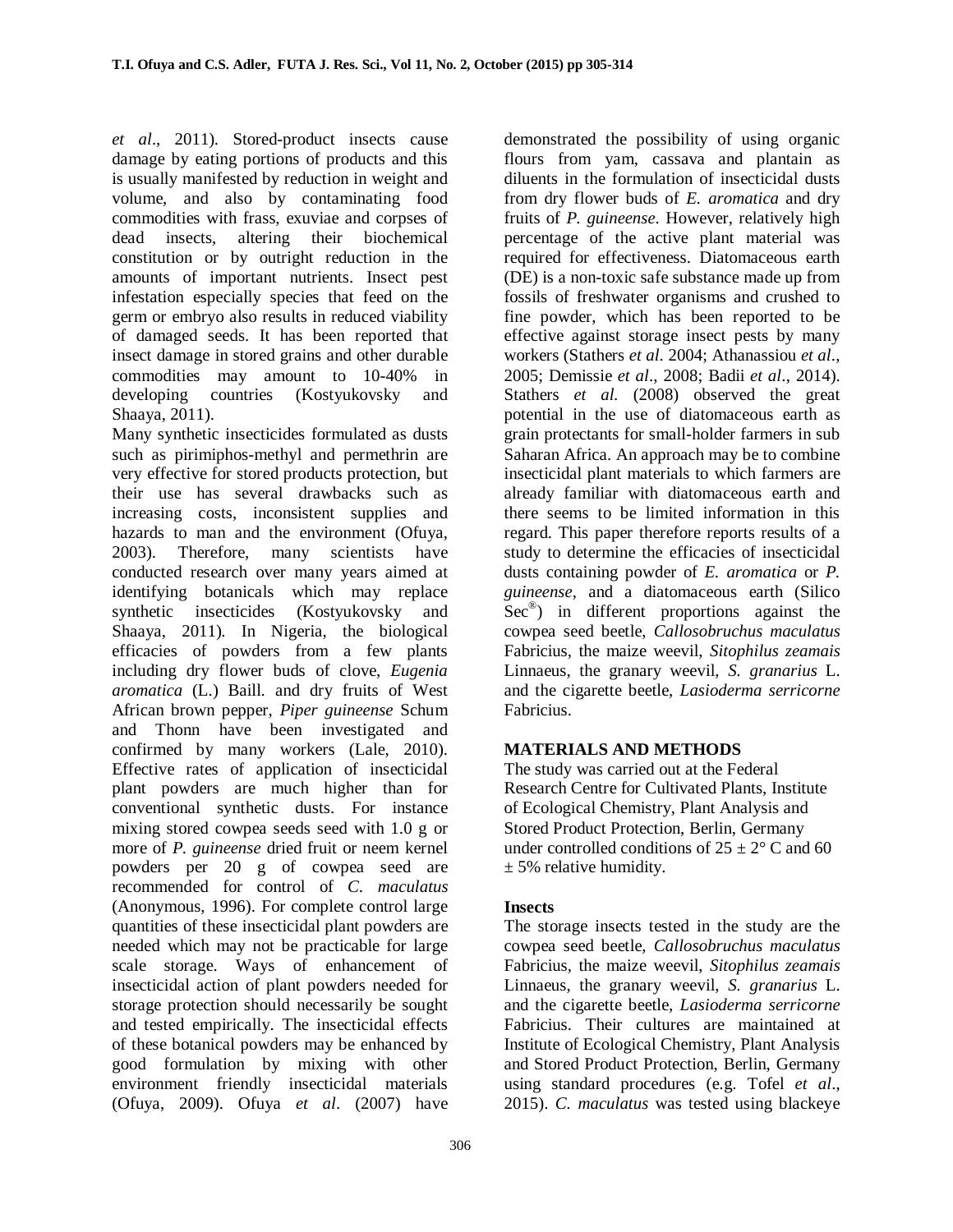*et al*., 2011). Stored-product insects cause damage by eating portions of products and this is usually manifested by reduction in weight and volume, and also by contaminating food commodities with frass, exuviae and corpses of dead insects, altering their biochemical constitution or by outright reduction in the amounts of important nutrients. Insect pest infestation especially species that feed on the germ or embryo also results in reduced viability of damaged seeds. It has been reported that insect damage in stored grains and other durable commodities may amount to 10-40% in developing countries (Kostyukovsky and Shaaya, 2011).

Many synthetic insecticides formulated as dusts such as pirimiphos-methyl and permethrin are very effective for stored products protection, but their use has several drawbacks such as increasing costs, inconsistent supplies and hazards to man and the environment (Ofuya, 2003). Therefore, many scientists have conducted research over many years aimed at identifying botanicals which may replace synthetic insecticides (Kostyukovsky and Shaaya, 2011). In Nigeria, the biological efficacies of powders from a few plants including dry flower buds of clove, *Eugenia aromatica* (L.) Baill. and dry fruits of West African brown pepper, *Piper guineense* Schum and Thonn have been investigated and confirmed by many workers (Lale, 2010). Effective rates of application of insecticidal plant powders are much higher than for conventional synthetic dusts. For instance mixing stored cowpea seeds seed with 1.0 g or more of *P. guineense* dried fruit or neem kernel powders per 20 g of cowpea seed are recommended for control of *C. maculatus* (Anonymous, 1996). For complete control large quantities of these insecticidal plant powders are needed which may not be practicable for large scale storage. Ways of enhancement of insecticidal action of plant powders needed for storage protection should necessarily be sought and tested empirically. The insecticidal effects of these botanical powders may be enhanced by good formulation by mixing with other environment friendly insecticidal materials (Ofuya, 2009). Ofuya *et al*. (2007) have

demonstrated the possibility of using organic flours from yam, cassava and plantain as diluents in the formulation of insecticidal dusts from dry flower buds of *E. aromatica* and dry fruits of *P. guineense*. However, relatively high percentage of the active plant material was required for effectiveness. Diatomaceous earth (DE) is a non-toxic safe substance made up from fossils of freshwater organisms and crushed to fine powder, which has been reported to be effective against storage insect pests by many workers (Stathers *et al*. 2004; Athanassiou *et al*., 2005; Demissie *et al*., 2008; Badii *et al*., 2014). Stathers *et al.* (2008) observed the great potential in the use of diatomaceous earth as grain protectants for small-holder farmers in sub Saharan Africa. An approach may be to combine insecticidal plant materials to which farmers are already familiar with diatomaceous earth and there seems to be limited information in this regard. This paper therefore reports results of a study to determine the efficacies of insecticidal dusts containing powder of *E. aromatica* or *P. guineense*, and a diatomaceous earth (Silico Sec® ) in different proportions against the cowpea seed beetle, *Callosobruchus maculatus*  Fabricius*,* the maize weevil, *Sitophilus zeamais* Linnaeus, the granary weevil, *S. granarius* L. and the cigarette beetle, *Lasioderma serricorne* Fabricius.

# **MATERIALS AND METHODS**

The study was carried out at the Federal Research Centre for Cultivated Plants, Institute of Ecological Chemistry, Plant Analysis and Stored Product Protection, Berlin, Germany under controlled conditions of  $25 \pm 2^{\circ}$  C and 60  $± 5\%$  relative humidity.

# **Insects**

The storage insects tested in the study are the cowpea seed beetle, *Callosobruchus maculatus*  Fabricius*,* the maize weevil, *Sitophilus zeamais* Linnaeus, the granary weevil, *S. granarius* L. and the cigarette beetle, *Lasioderma serricorne* Fabricius. Their cultures are maintained at Institute of Ecological Chemistry, Plant Analysis and Stored Product Protection, Berlin, Germany using standard procedures (e.g. Tofel *et al*., 2015). *C. maculatus* was tested using blackeye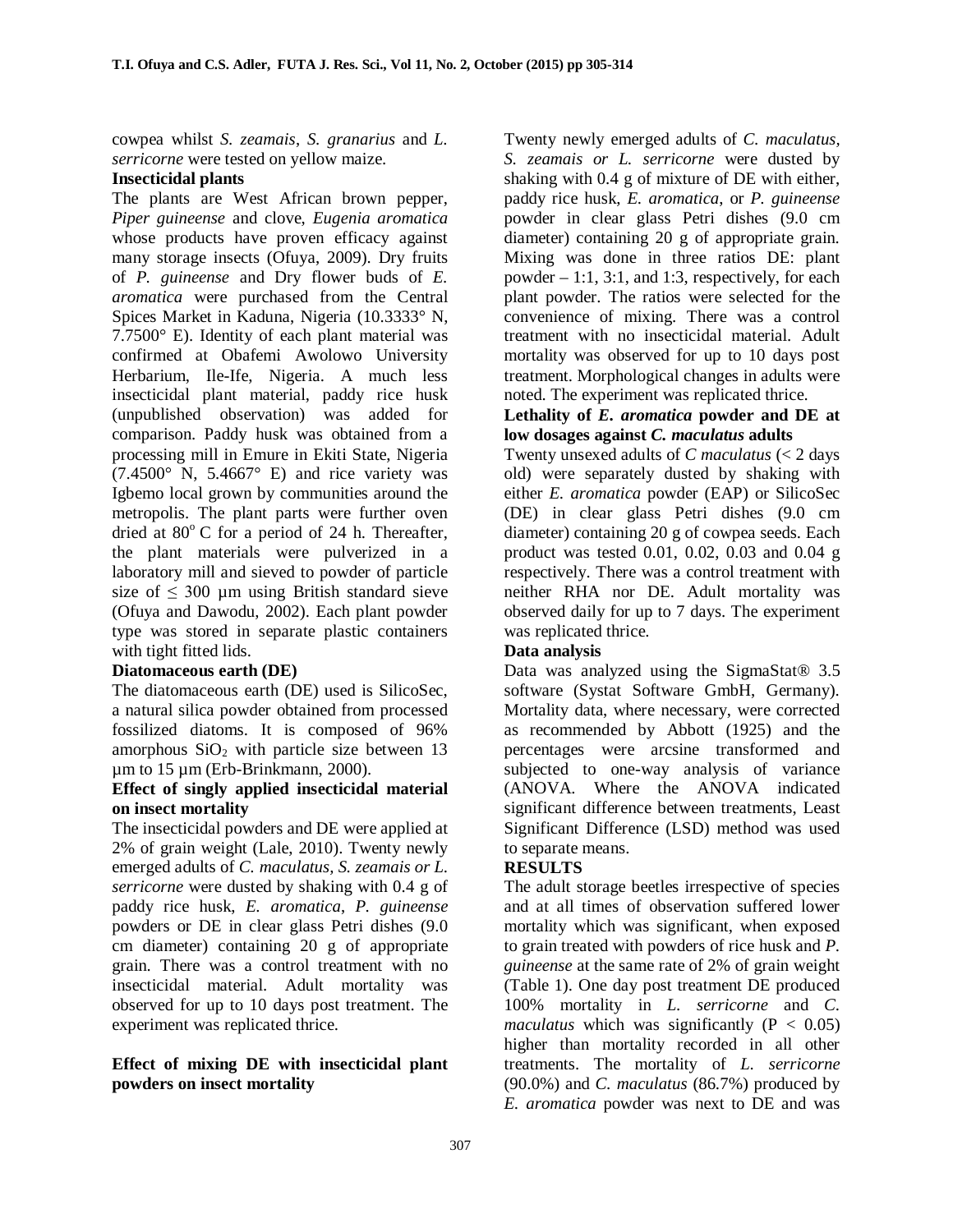cowpea whilst *S. zeamais*, *S. granarius* and *L. serricorne* were tested on yellow maize.

# **Insecticidal plants**

The plants are West African brown pepper, *Piper guineense* and clove, *Eugenia aromatica* whose products have proven efficacy against many storage insects (Ofuya, 2009). Dry fruits of *P. guineense* and Dry flower buds of *E. aromatica* were purchased from the Central Spices Market in Kaduna, Nigeria (10.3333° N, 7.7500° E). Identity of each plant material was confirmed at Obafemi Awolowo University Herbarium, Ile-Ife, Nigeria. A much less insecticidal plant material, paddy rice husk (unpublished observation) was added for comparison. Paddy husk was obtained from a processing mill in Emure in Ekiti State, Nigeria  $(7.4500\degree)$  N, 5.4667 $\degree$  E) and rice variety was Igbemo local grown by communities around the metropolis. The plant parts were further oven dried at  $80^{\circ}$  C for a period of 24 h. Thereafter, the plant materials were pulverized in a laboratory mill and sieved to powder of particle size of  $\leq$  300 µm using British standard sieve (Ofuya and Dawodu, 2002). Each plant powder type was stored in separate plastic containers with tight fitted lids.

# **Diatomaceous earth (DE)**

The diatomaceous earth (DE) used is SilicoSec, a natural silica powder obtained from processed fossilized diatoms. It is composed of 96% amorphous  $SiO<sub>2</sub>$  with particle size between 13 µm to 15 µm (Erb-Brinkmann, 2000).

### **Effect of singly applied insecticidal material on insect mortality**

The insecticidal powders and DE were applied at 2% of grain weight (Lale, 2010). Twenty newly emerged adults of *C. maculatus, S. zeamais or L. serricorne* were dusted by shaking with 0.4 g of paddy rice husk, *E. aromatica*, *P. guineense* powders or DE in clear glass Petri dishes (9.0 cm diameter) containing 20 g of appropriate grain. There was a control treatment with no insecticidal material. Adult mortality was observed for up to 10 days post treatment. The experiment was replicated thrice.

# **Effect of mixing DE with insecticidal plant powders on insect mortality**

Twenty newly emerged adults of *C. maculatus, S. zeamais or L. serricorne* were dusted by shaking with 0.4 g of mixture of DE with either, paddy rice husk, *E. aromatica*, or *P. guineense* powder in clear glass Petri dishes (9.0 cm diameter) containing 20 g of appropriate grain. Mixing was done in three ratios DE: plant powder  $-1:1, 3:1$ , and 1:3, respectively, for each plant powder. The ratios were selected for the convenience of mixing. There was a control treatment with no insecticidal material. Adult mortality was observed for up to 10 days post treatment. Morphological changes in adults were noted. The experiment was replicated thrice.

### **Lethality of** *E. aromatica* **powder and DE at low dosages against** *C. maculatus* **adults**

Twenty unsexed adults of *C maculatus* (< 2 days old) were separately dusted by shaking with either *E. aromatica* powder (EAP) or SilicoSec (DE) in clear glass Petri dishes (9.0 cm diameter) containing 20 g of cowpea seeds. Each product was tested 0.01, 0.02, 0.03 and 0.04 g respectively. There was a control treatment with neither RHA nor DE. Adult mortality was observed daily for up to 7 days. The experiment was replicated thrice.

# **Data analysis**

Data was analyzed using the SigmaStat<sup>®</sup> 3.5 software (Systat Software GmbH, Germany). Mortality data, where necessary, were corrected as recommended by Abbott (1925) and the percentages were arcsine transformed and subjected to one-way analysis of variance (ANOVA. Where the ANOVA indicated significant difference between treatments, Least Significant Difference (LSD) method was used to separate means.

# **RESULTS**

The adult storage beetles irrespective of species and at all times of observation suffered lower mortality which was significant, when exposed to grain treated with powders of rice husk and *P*. *guineense* at the same rate of 2% of grain weight (Table 1). One day post treatment DE produced 100% mortality in *L. serricorne* and *C. maculatus* which was significantly ( $P < 0.05$ ) higher than mortality recorded in all other treatments. The mortality of *L. serricorne* (90.0%) and *C. maculatus* (86.7%) produced by *E. aromatica* powder was next to DE and was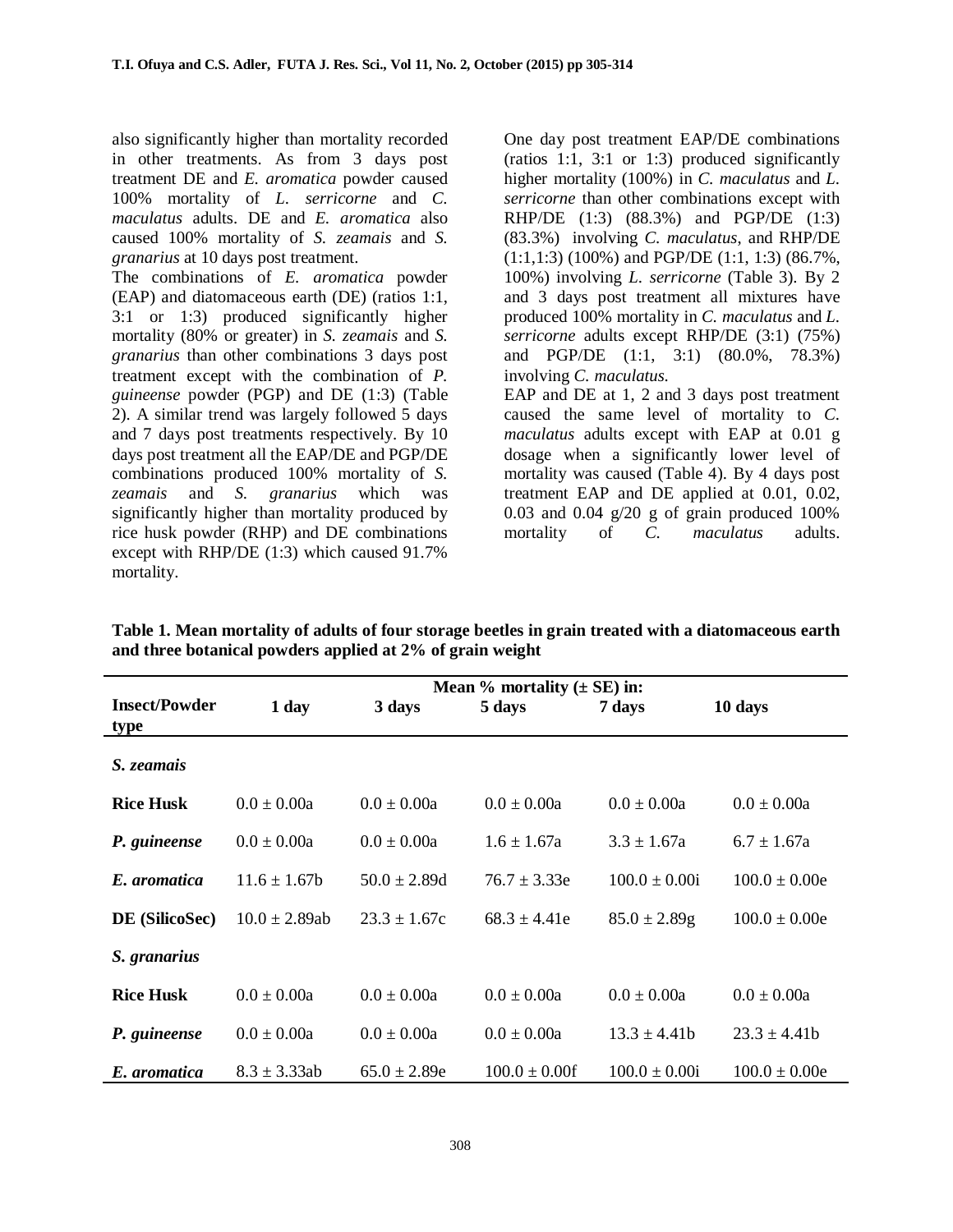also significantly higher than mortality recorded in other treatments. As from 3 days post treatment DE and *E. aromatica* powder caused 100% mortality of *L. serricorne* and *C. maculatus* adults. DE and *E. aromatica* also caused 100% mortality of *S. zeamais* and *S. granarius* at 10 days post treatment.

The combinations of *E. aromatica* powder (EAP) and diatomaceous earth (DE) (ratios 1:1, 3:1 or 1:3) produced significantly higher mortality (80% or greater) in *S. zeamais* and *S. granarius* than other combinations 3 days post treatment except with the combination of *P. guineense* powder (PGP) and DE (1:3) (Table 2). A similar trend was largely followed 5 days and 7 days post treatments respectively. By 10 days post treatment all the EAP/DE and PGP/DE combinations produced 100% mortality of *S. zeamais* and *S. granarius* which was significantly higher than mortality produced by rice husk powder (RHP) and DE combinations except with RHP/DE (1:3) which caused 91.7% mortality.

One day post treatment EAP/DE combinations (ratios 1:1, 3:1 or 1:3) produced significantly higher mortality (100%) in *C. maculatus* and *L. serricorne* than other combinations except with RHP/DE (1:3) (88.3%) and PGP/DE (1:3) (83.3%) involving *C. maculatus*, and RHP/DE (1:1,1:3) (100%) and PGP/DE (1:1, 1:3) (86.7%, 100%) involving *L. serricorne* (Table 3). By 2 and 3 days post treatment all mixtures have produced 100% mortality in *C. maculatus* and *L. serricorne* adults except RHP/DE (3:1) (75%) and PGP/DE (1:1, 3:1) (80.0%, 78.3%) involving *C. maculatus*. EAP and DE at 1, 2 and 3 days post treatment caused the same level of mortality to *C. maculatus* adults except with EAP at 0.01 g dosage when a significantly lower level of mortality was caused (Table 4). By 4 days post

treatment EAP and DE applied at 0.01, 0.02, 0.03 and 0.04  $g/20$  g of grain produced 100% mortality of *C. maculatus* adults.

|                      | Mean $%$ mortality ( $\pm$ SE) in: |                  |                   |                   |                   |  |
|----------------------|------------------------------------|------------------|-------------------|-------------------|-------------------|--|
| <b>Insect/Powder</b> | 1 day                              | 3 days           | 5 days            | 7 days            | 10 days           |  |
| type                 |                                    |                  |                   |                   |                   |  |
| S. zeamais           |                                    |                  |                   |                   |                   |  |
| <b>Rice Husk</b>     | $0.0 \pm 0.00a$                    | $0.0 \pm 0.00a$  | $0.0 \pm 0.00a$   | $0.0 \pm 0.00a$   | $0.0 \pm 0.00a$   |  |
| P. guineense         | $0.0 \pm 0.00a$                    | $0.0 \pm 0.00a$  | $1.6 \pm 1.67a$   | $3.3 \pm 1.67a$   | $6.7 \pm 1.67a$   |  |
| E. aromatica         | $11.6 \pm 1.67$                    | $50.0 \pm 2.89d$ | $76.7 \pm 3.33e$  | $100.0 \pm 0.00i$ | $100.0 \pm 0.00e$ |  |
| DE (SilicoSec)       | $10.0 \pm 2.89ab$                  | $23.3 \pm 1.67c$ | $68.3 \pm 4.41e$  | $85.0 \pm 2.89$ g | $100.0 \pm 0.00e$ |  |
| S. granarius         |                                    |                  |                   |                   |                   |  |
| <b>Rice Husk</b>     | $0.0 \pm 0.00a$                    | $0.0 \pm 0.00a$  | $0.0 \pm 0.00a$   | $0.0 \pm 0.00a$   | $0.0 \pm 0.00a$   |  |
| P. guineense         | $0.0 \pm 0.00a$                    | $0.0 \pm 0.00a$  | $0.0 \pm 0.00a$   | $13.3 \pm 4.41b$  | $23.3 \pm 4.41b$  |  |
| E. aromatica         | $8.3 \pm 3.33$ ab                  | $65.0 \pm 2.89e$ | $100.0 \pm 0.00f$ | $100.0 \pm 0.00i$ | $100.0 \pm 0.00e$ |  |

**Table 1. Mean mortality of adults of four storage beetles in grain treated with a diatomaceous earth and three botanical powders applied at 2% of grain weight**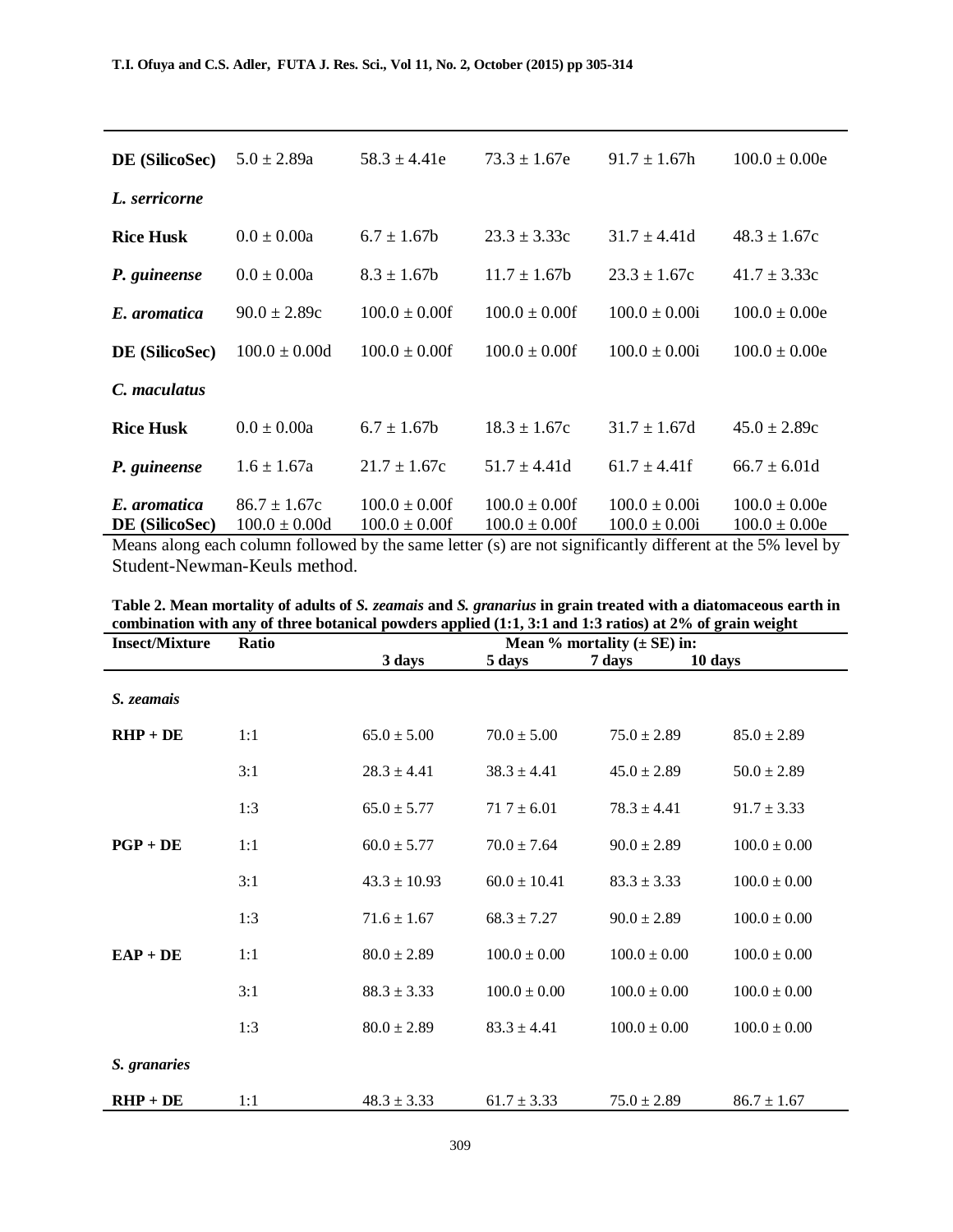| DE (SilicoSec)                 | $5.0 \pm 2.89a$                       | $58.3 \pm 4.41e$                        | $73.3 \pm 1.67e$                        | $91.7 \pm 1.67h$                       | $100.0 \pm 0.00e$                      |
|--------------------------------|---------------------------------------|-----------------------------------------|-----------------------------------------|----------------------------------------|----------------------------------------|
| L. serricorne                  |                                       |                                         |                                         |                                        |                                        |
| <b>Rice Husk</b>               | $0.0 \pm 0.00a$                       | $6.7 \pm 1.67$                          | $23.3 \pm 3.33c$                        | $31.7 \pm 4.41d$                       | $48.3 \pm 1.67c$                       |
| P. guineense                   | $0.0 \pm 0.00a$                       | $8.3 \pm 1.67$ b                        | $11.7 \pm 1.67$                         | $23.3 \pm 1.67c$                       | $41.7 \pm 3.33c$                       |
| E. aromatica                   | $90.0 \pm 2.89c$                      | $100.0 \pm 0.00f$                       | $100.0 \pm 0.00f$                       | $100.0 \pm 0.00i$                      | $100.0 \pm 0.00e$                      |
| DE (SilicoSec)                 | $100.0 \pm 0.00d$                     | $100.0 \pm 0.00f$                       | $100.0 \pm 0.00$ f                      | $100.0 \pm 0.00i$                      | $100.0 \pm 0.00e$                      |
| C. maculatus                   |                                       |                                         |                                         |                                        |                                        |
| <b>Rice Husk</b>               | $0.0 \pm 0.00a$                       | $6.7 \pm 1.67$                          | $18.3 \pm 1.67c$                        | $31.7 \pm 1.67d$                       | $45.0 \pm 2.89c$                       |
| P. guineense                   | $1.6 \pm 1.67a$                       | $21.7 \pm 1.67c$                        | $51.7 \pm 4.41d$                        | $61.7 \pm 4.41$ f                      | $66.7 \pm 6.01d$                       |
| E. aromatica<br>DE (SilicoSec) | $86.7 \pm 1.67c$<br>$100.0 \pm 0.00d$ | $100.0 \pm 0.00$ f<br>$100.0 \pm 0.00f$ | $100.0 \pm 0.00$ f<br>$100.0 \pm 0.00f$ | $100.0 \pm 0.00i$<br>$100.0 \pm 0.00i$ | $100.0 \pm 0.00e$<br>$100.0 \pm 0.00e$ |

Means along each column followed by the same letter (s) are not significantly different at the 5% level by Student-Newman-Keuls method.

| <b>Insect/Mixture</b> | Ratio | Mean % mortality $(\pm SE)$ in: |                  |                  |                  |  |
|-----------------------|-------|---------------------------------|------------------|------------------|------------------|--|
|                       |       | 3 days                          | 5 days           | 7 days           | 10 days          |  |
| S. zeamais            |       |                                 |                  |                  |                  |  |
| $RHP + DE$            | 1:1   | $65.0 \pm 5.00$                 | $70.0 \pm 5.00$  | $75.0 \pm 2.89$  | $85.0 \pm 2.89$  |  |
|                       | 3:1   | $28.3 \pm 4.41$                 | $38.3 \pm 4.41$  | $45.0 \pm 2.89$  | $50.0 \pm 2.89$  |  |
|                       | 1:3   | $65.0 \pm 5.77$                 | $71.7 \pm 6.01$  | $78.3 \pm 4.41$  | $91.7 \pm 3.33$  |  |
| $PGP + DE$            | 1:1   | $60.0 \pm 5.77$                 | $70.0 \pm 7.64$  | $90.0 \pm 2.89$  | $100.0 \pm 0.00$ |  |
|                       | 3:1   | $43.3 \pm 10.93$                | $60.0 \pm 10.41$ | $83.3 \pm 3.33$  | $100.0 \pm 0.00$ |  |
|                       | 1:3   | $71.6 \pm 1.67$                 | $68.3 \pm 7.27$  | $90.0 \pm 2.89$  | $100.0 \pm 0.00$ |  |
| $EAP + DE$            | 1:1   | $80.0 \pm 2.89$                 | $100.0 \pm 0.00$ | $100.0 \pm 0.00$ | $100.0 \pm 0.00$ |  |
|                       | 3:1   | $88.3 \pm 3.33$                 | $100.0 \pm 0.00$ | $100.0 \pm 0.00$ | $100.0 \pm 0.00$ |  |
|                       | 1:3   | $80.0 \pm 2.89$                 | $83.3 \pm 4.41$  | $100.0 \pm 0.00$ | $100.0 \pm 0.00$ |  |
| S. granaries          |       |                                 |                  |                  |                  |  |
| $RHP + DE$            | 1:1   | $48.3 \pm 3.33$                 | $61.7 \pm 3.33$  | $75.0 \pm 2.89$  | $86.7 \pm 1.67$  |  |

**Table 2. Mean mortality of adults of** *S. zeamais* **and** *S. granarius* **in grain treated with a diatomaceous earth in combination with any of three botanical powders applied (1:1, 3:1 and 1:3 ratios) at 2% of grain weight**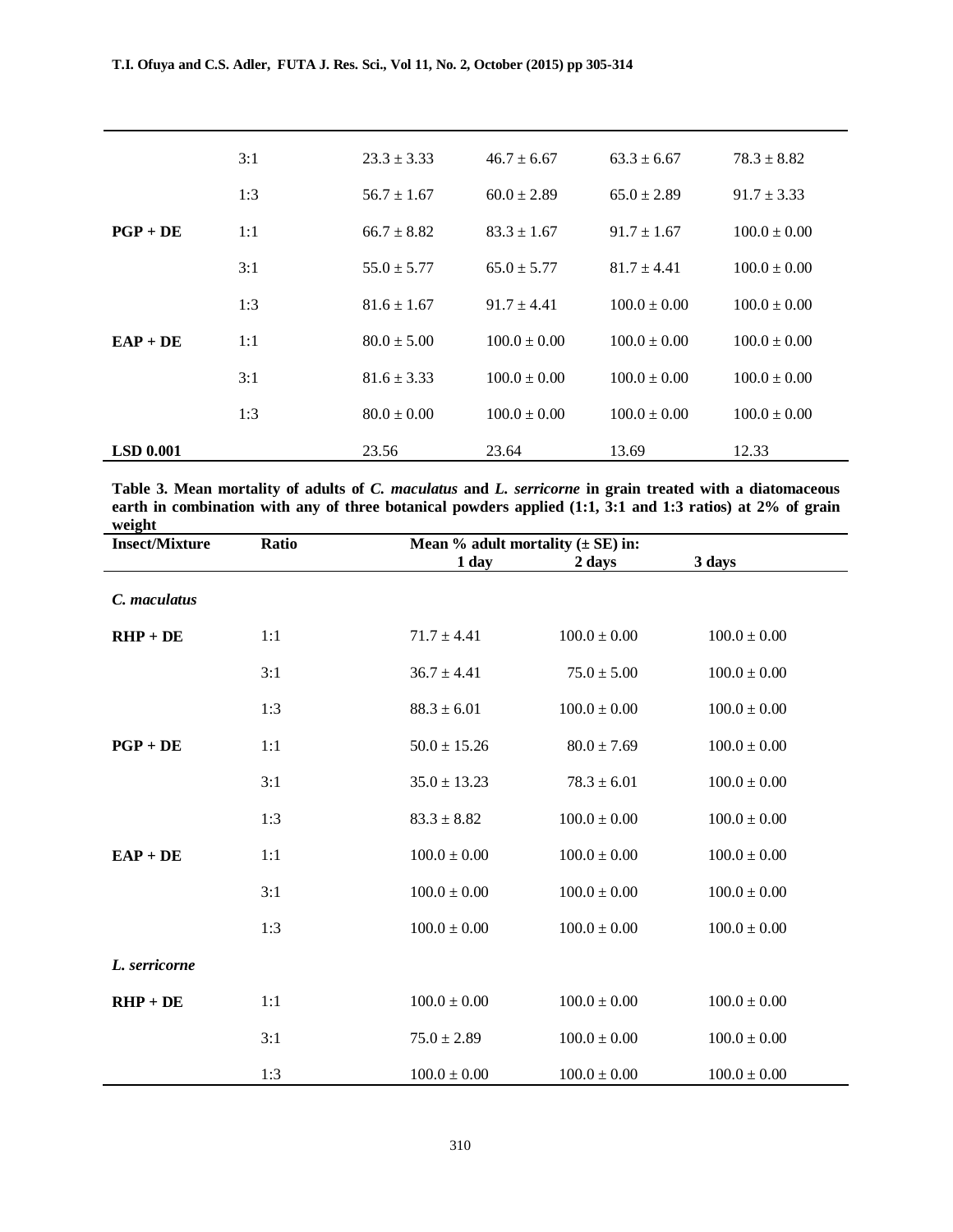|                  | 3:1 | $23.3 \pm 3.33$ | $46.7 \pm 6.67$  | $63.3 \pm 6.67$  | $78.3 \pm 8.82$  |
|------------------|-----|-----------------|------------------|------------------|------------------|
|                  | 1:3 | $56.7 \pm 1.67$ | $60.0 \pm 2.89$  | $65.0 \pm 2.89$  | $91.7 \pm 3.33$  |
| $PGP + DE$       | 1:1 | $66.7 \pm 8.82$ | $83.3 \pm 1.67$  | $91.7 \pm 1.67$  | $100.0 \pm 0.00$ |
|                  | 3:1 | $55.0 \pm 5.77$ | $65.0 \pm 5.77$  | $81.7 \pm 4.41$  | $100.0 \pm 0.00$ |
|                  | 1:3 | $81.6 \pm 1.67$ | $91.7 \pm 4.41$  | $100.0 \pm 0.00$ | $100.0 \pm 0.00$ |
| $EAP + DE$       | 1:1 | $80.0 \pm 5.00$ | $100.0 \pm 0.00$ | $100.0 \pm 0.00$ | $100.0 \pm 0.00$ |
|                  | 3:1 | $81.6 \pm 3.33$ | $100.0 \pm 0.00$ | $100.0 \pm 0.00$ | $100.0 \pm 0.00$ |
|                  | 1:3 | $80.0 \pm 0.00$ | $100.0 \pm 0.00$ | $100.0 \pm 0.00$ | $100.0 \pm 0.00$ |
| <b>LSD 0.001</b> |     | 23.56           | 23.64            | 13.69            | 12.33            |

| Table 3. Mean mortality of adults of C. maculatus and L. serricorne in grain treated with a diatomaceous  |
|-----------------------------------------------------------------------------------------------------------|
| earth in combination with any of three botanical powders applied (1:1, 3:1 and 1:3 ratios) at 2% of grain |
| weight                                                                                                    |

| <b>Insect/Mixture</b> | Ratio | Mean % adult mortality $(\pm SE)$ in: |                  |                  |  |
|-----------------------|-------|---------------------------------------|------------------|------------------|--|
|                       |       | 1 day                                 | 2 days           | 3 days           |  |
| C. maculatus          |       |                                       |                  |                  |  |
| $RHP + DE$            | 1:1   | $71.7 \pm 4.41$                       | $100.0 \pm 0.00$ | $100.0 \pm 0.00$ |  |
|                       | 3:1   | $36.7 \pm 4.41$                       | $75.0 \pm 5.00$  | $100.0 \pm 0.00$ |  |
|                       | 1:3   | $88.3 \pm 6.01$                       | $100.0 \pm 0.00$ | $100.0 \pm 0.00$ |  |
| $PGP + DE$            | 1:1   | $50.0 \pm 15.26$                      | $80.0 \pm 7.69$  | $100.0 \pm 0.00$ |  |
|                       | 3:1   | $35.0 \pm 13.23$                      | $78.3 \pm 6.01$  | $100.0 \pm 0.00$ |  |
|                       | 1:3   | $83.3 \pm 8.82$                       | $100.0 \pm 0.00$ | $100.0 \pm 0.00$ |  |
| $EAP + DE$            | 1:1   | $100.0 \pm 0.00$                      | $100.0 \pm 0.00$ | $100.0 \pm 0.00$ |  |
|                       | 3:1   | $100.0 \pm 0.00$                      | $100.0 \pm 0.00$ | $100.0 \pm 0.00$ |  |
|                       | 1:3   | $100.0 \pm 0.00$                      | $100.0 \pm 0.00$ | $100.0 \pm 0.00$ |  |
| L. serricorne         |       |                                       |                  |                  |  |
| $RHP + DE$            | 1:1   | $100.0 \pm 0.00$                      | $100.0 \pm 0.00$ | $100.0 \pm 0.00$ |  |
|                       | 3:1   | $75.0 \pm 2.89$                       | $100.0 \pm 0.00$ | $100.0 \pm 0.00$ |  |
|                       | 1:3   | $100.0\pm0.00$                        | $100.0\pm0.00$   | $100.0\pm0.00$   |  |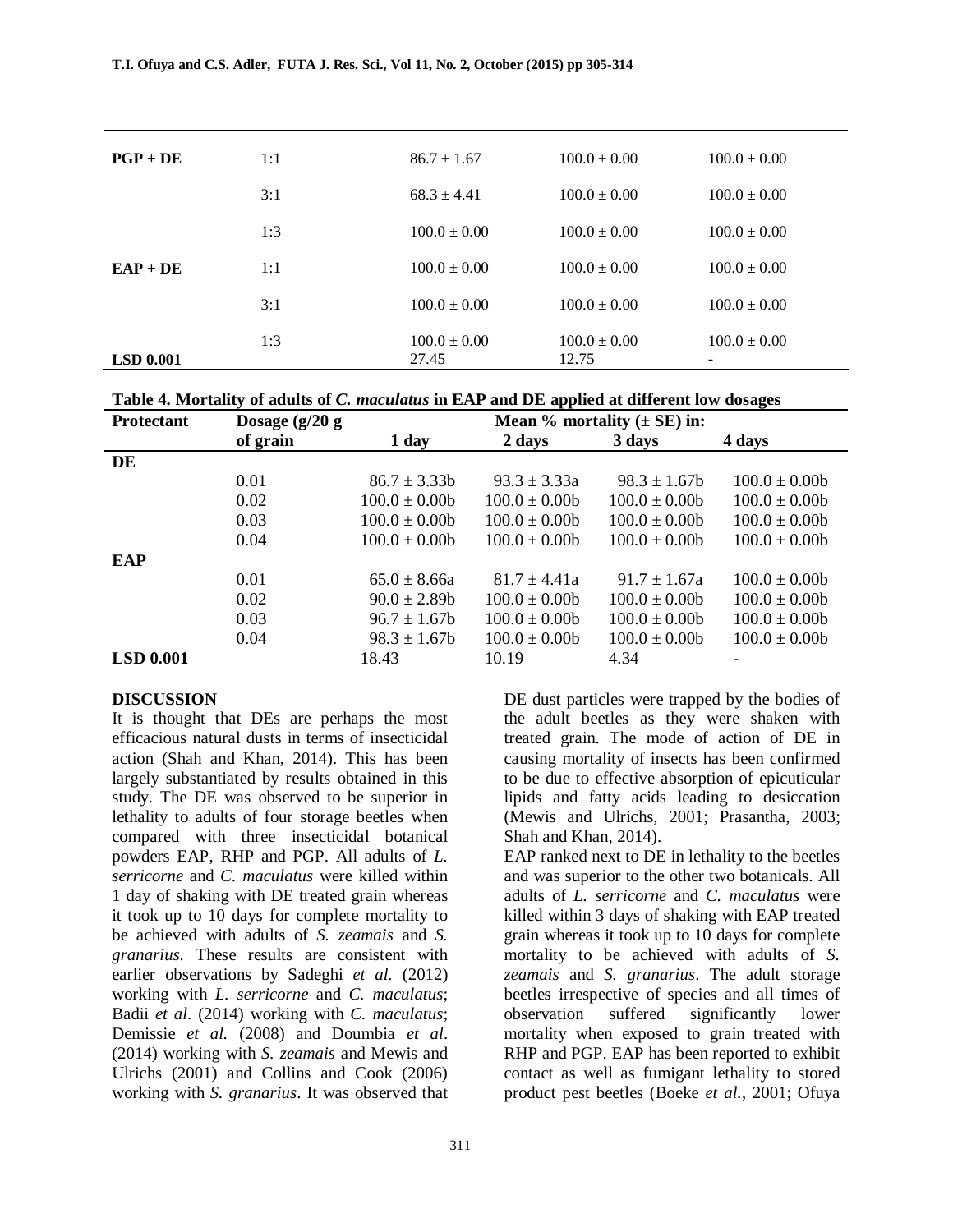| $PGP + DE$       | 1:1 | $86.7 \pm 1.67$           | $100.0 \pm 0.00$          | $100.0 \pm 0.00$ |
|------------------|-----|---------------------------|---------------------------|------------------|
|                  | 3:1 | $68.3 \pm 4.41$           | $100.0 \pm 0.00$          | $100.0 \pm 0.00$ |
|                  | 1:3 | $100.0 \pm 0.00$          | $100.0 \pm 0.00$          | $100.0 \pm 0.00$ |
| $EAP + DE$       | 1:1 | $100.0 \pm 0.00$          | $100.0 \pm 0.00$          | $100.0 \pm 0.00$ |
|                  | 3:1 | $100.0 \pm 0.00$          | $100.0 \pm 0.00$          | $100.0 \pm 0.00$ |
| <b>LSD 0.001</b> | 1:3 | $100.0 \pm 0.00$<br>27.45 | $100.0 \pm 0.00$<br>12.75 | $100.0 \pm 0.00$ |

| Table 4. Mortality of adults of C. maculatus in EAP and DE applied at different low dosages |  |  |  |  |  |  |  |
|---------------------------------------------------------------------------------------------|--|--|--|--|--|--|--|
|---------------------------------------------------------------------------------------------|--|--|--|--|--|--|--|

| <b>Protectant</b> | Dosage $(g/20 g)$ | Mean $%$ mortality ( $\pm$ SE) in: |                  |                  |                  |  |  |
|-------------------|-------------------|------------------------------------|------------------|------------------|------------------|--|--|
|                   | of grain          | 1 day                              | 2 days           | 3 days           | 4 days           |  |  |
| DE                |                   |                                    |                  |                  |                  |  |  |
|                   | 0.01              | $86.7 \pm 3.33b$                   | $93.3 \pm 3.33a$ | $98.3 \pm 1.67$  | $100.0 \pm 0.00$ |  |  |
|                   | 0.02              | $100.0 \pm 0.00$                   | $100.0 \pm 0.00$ | $100.0 \pm 0.00$ | $100.0 \pm 0.00$ |  |  |
|                   | 0.03              | $100.0 \pm 0.00$                   | $100.0 \pm 0.00$ | $100.0 \pm 0.00$ | $100.0 \pm 0.00$ |  |  |
|                   | 0.04              | $100.0 \pm 0.00$                   | $100.0 \pm 0.00$ | $100.0 \pm 0.00$ | $100.0 \pm 0.00$ |  |  |
| <b>EAP</b>        |                   |                                    |                  |                  |                  |  |  |
|                   | 0.01              | $65.0 \pm 8.66a$                   | $81.7 + 4.41a$   | $91.7 \pm 1.67a$ | $100.0 \pm 0.00$ |  |  |
|                   | 0.02              | $90.0 \pm 2.89$ b                  | $100.0 \pm 0.00$ | $100.0 \pm 0.00$ | $100.0 \pm 0.00$ |  |  |
|                   | 0.03              | $96.7 \pm 1.67$                    | $100.0 \pm 0.00$ | $100.0 \pm 0.00$ | $100.0 \pm 0.00$ |  |  |
|                   | 0.04              | $98.3 \pm 1.67$                    | $100.0 \pm 0.00$ | $100.0 \pm 0.00$ | $100.0 \pm 0.00$ |  |  |
| <b>LSD 0.001</b>  |                   | 18.43                              | 10.19            | 4.34             |                  |  |  |

#### **DISCUSSION**

It is thought that DEs are perhaps the most efficacious natural dusts in terms of insecticidal action (Shah and Khan, 2014). This has been largely substantiated by results obtained in this study. The DE was observed to be superior in lethality to adults of four storage beetles when compared with three insecticidal botanical powders EAP, RHP and PGP. All adults of *L. serricorne* and *C. maculatus* were killed within 1 day of shaking with DE treated grain whereas it took up to 10 days for complete mortality to be achieved with adults of *S. zeamais* and *S. granarius*. These results are consistent with earlier observations by Sadeghi *et al.* (2012) working with *L. serricorne* and *C. maculatus*; Badii *et al*. (2014) working with *C. maculatus*; Demissie *et al.* (2008) and Doumbia *et al*. (2014) working with *S. zeamais* and Mewis and Ulrichs (2001) and Collins and Cook (2006) working with *S. granarius*. It was observed that

DE dust particles were trapped by the bodies of the adult beetles as they were shaken with treated grain. The mode of action of DE in causing mortality of insects has been confirmed to be due to effective absorption of epicuticular lipids and fatty acids leading to desiccation (Mewis and Ulrichs, 2001; Prasantha, 2003; Shah and Khan, 2014).

EAP ranked next to DE in lethality to the beetles and was superior to the other two botanicals. All adults of *L. serricorne* and *C. maculatus* were killed within 3 days of shaking with EAP treated grain whereas it took up to 10 days for complete mortality to be achieved with adults of *S. zeamais* and *S. granarius*. The adult storage beetles irrespective of species and all times of observation suffered significantly lower mortality when exposed to grain treated with RHP and PGP. EAP has been reported to exhibit contact as well as fumigant lethality to stored product pest beetles (Boeke *et al.*, 2001; Ofuya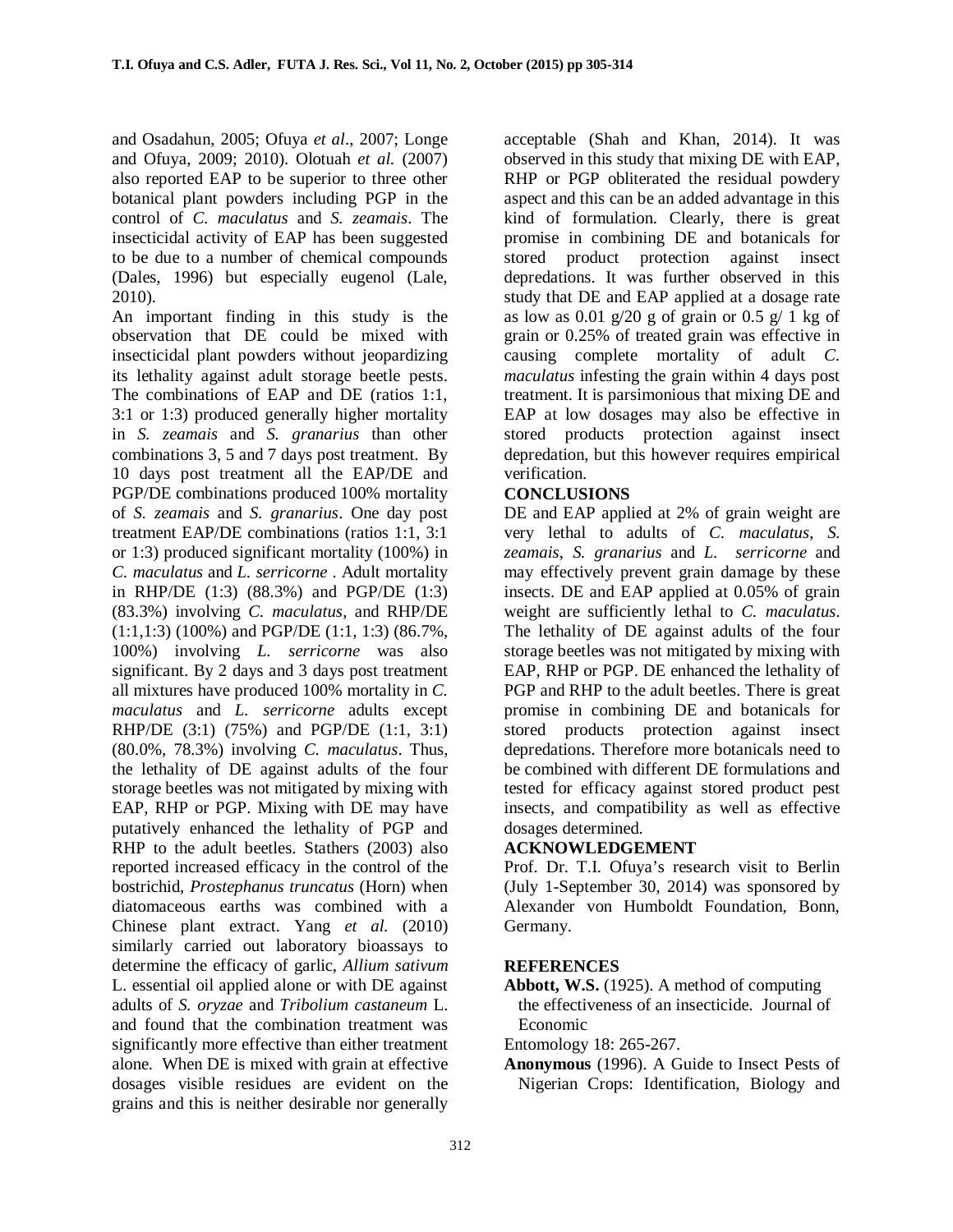and Osadahun, 2005; Ofuya *et al*., 2007; Longe and Ofuya, 2009; 2010). Olotuah *et al.* (2007) also reported EAP to be superior to three other botanical plant powders including PGP in the control of *C. maculatus* and *S. zeamais*. The insecticidal activity of EAP has been suggested to be due to a number of chemical compounds (Dales, 1996) but especially eugenol (Lale, 2010).

An important finding in this study is the observation that DE could be mixed with insecticidal plant powders without jeopardizing its lethality against adult storage beetle pests. The combinations of EAP and DE (ratios 1:1, 3:1 or 1:3) produced generally higher mortality in *S. zeamais* and *S. granarius* than other combinations 3, 5 and 7 days post treatment. By 10 days post treatment all the EAP/DE and PGP/DE combinations produced 100% mortality of *S. zeamais* and *S. granarius*. One day post treatment EAP/DE combinations (ratios 1:1, 3:1 or 1:3) produced significant mortality (100%) in *C. maculatus* and *L. serricorne* . Adult mortality in RHP/DE (1:3) (88.3%) and PGP/DE (1:3) (83.3%) involving *C. maculatus*, and RHP/DE (1:1,1:3) (100%) and PGP/DE (1:1, 1:3) (86.7%, 100%) involving *L. serricorne* was also significant. By 2 days and 3 days post treatment all mixtures have produced 100% mortality in *C. maculatus* and *L. serricorne* adults except RHP/DE (3:1) (75%) and PGP/DE (1:1, 3:1) (80.0%, 78.3%) involving *C. maculatus*. Thus, the lethality of DE against adults of the four storage beetles was not mitigated by mixing with EAP, RHP or PGP. Mixing with DE may have putatively enhanced the lethality of PGP and RHP to the adult beetles. Stathers (2003) also reported increased efficacy in the control of the bostrichid, *Prostephanus truncatus* (Horn) when diatomaceous earths was combined with a Chinese plant extract. Yang *et al.* (2010) similarly carried out laboratory bioassays to determine the efficacy of garlic, *Allium sativum* L. essential oil applied alone or with DE against adults of *S. oryzae* and *Tribolium castaneum* L. and found that the combination treatment was significantly more effective than either treatment alone. When DE is mixed with grain at effective dosages visible residues are evident on the grains and this is neither desirable nor generally

acceptable (Shah and Khan, 2014). It was observed in this study that mixing DE with EAP, RHP or PGP obliterated the residual powdery aspect and this can be an added advantage in this kind of formulation. Clearly, there is great promise in combining DE and botanicals for stored product protection against insect depredations. It was further observed in this study that DE and EAP applied at a dosage rate as low as 0.01  $g/20$  g of grain or 0.5  $g/1$  kg of grain or 0.25% of treated grain was effective in causing complete mortality of adult *C. maculatus* infesting the grain within 4 days post treatment. It is parsimonious that mixing DE and EAP at low dosages may also be effective in stored products protection against insect depredation, but this however requires empirical verification.

# **CONCLUSIONS**

DE and EAP applied at 2% of grain weight are very lethal to adults of *C. maculatus*, *S. zeamais*, *S. granarius* and *L. serricorne* and may effectively prevent grain damage by these insects. DE and EAP applied at 0.05% of grain weight are sufficiently lethal to *C. maculatus*. The lethality of DE against adults of the four storage beetles was not mitigated by mixing with EAP, RHP or PGP. DE enhanced the lethality of PGP and RHP to the adult beetles. There is great promise in combining DE and botanicals for stored products protection against insect depredations. Therefore more botanicals need to be combined with different DE formulations and tested for efficacy against stored product pest insects, and compatibility as well as effective dosages determined.

# **ACKNOWLEDGEMENT**

Prof. Dr. T.I. Ofuya's research visit to Berlin (July 1-September 30, 2014) was sponsored by Alexander von Humboldt Foundation, Bonn, Germany.

# **REFERENCES**

**Abbott, W.S.** (1925). A method of computing the effectiveness of an insecticide. Journal of Economic

Entomology 18: 265-267.

**Anonymous** (1996). A Guide to Insect Pests of Nigerian Crops: Identification, Biology and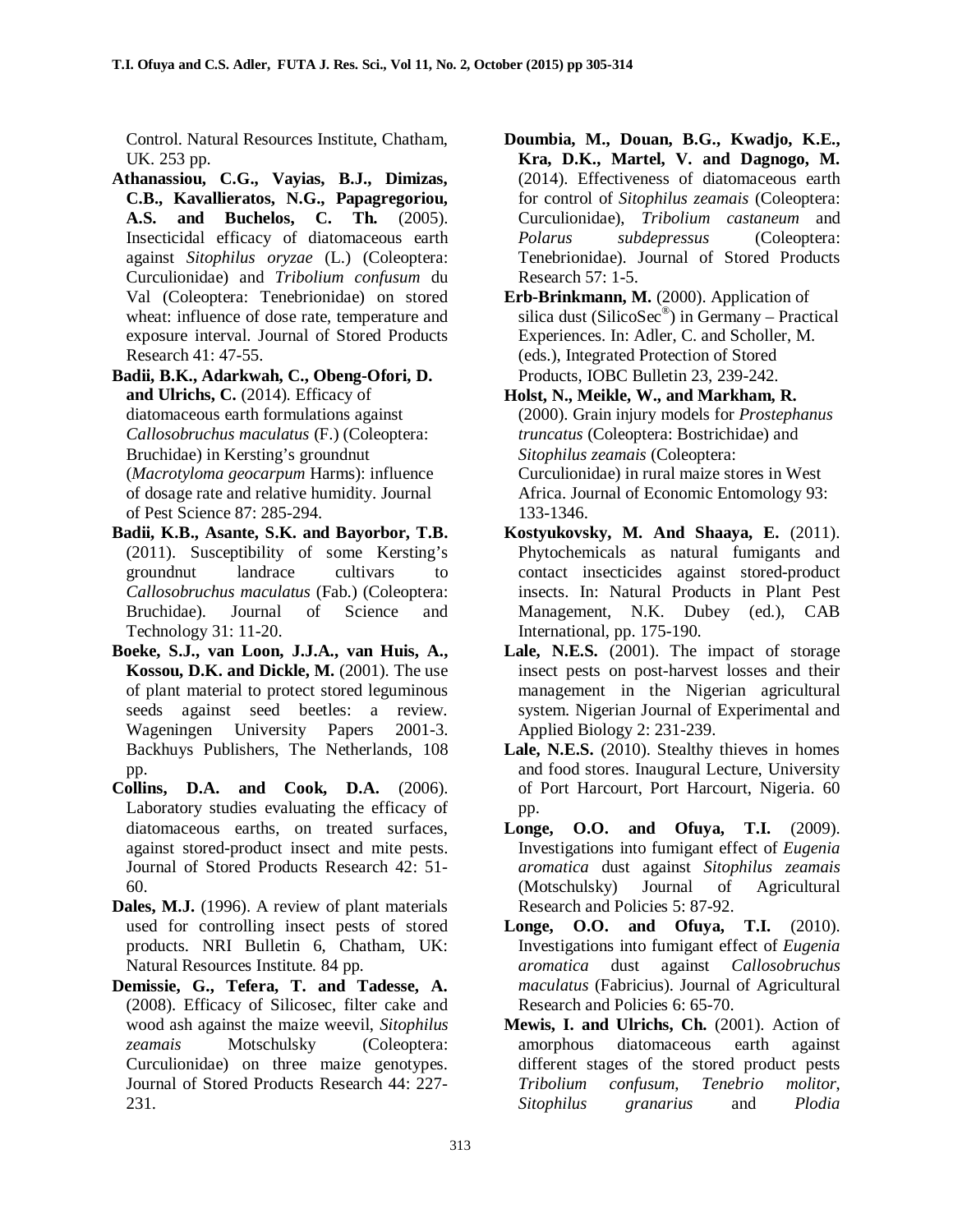Control. Natural Resources Institute, Chatham, UK. 253 pp.

**Athanassiou, C.G., Vayias, B.J., Dimizas, C.B., Kavallieratos, N.G., Papagregoriou, A.S. and Buchelos, C. Th.** (2005). Insecticidal efficacy of diatomaceous earth against *Sitophilus oryzae* (L.) (Coleoptera: Curculionidae) and *Tribolium confusum* du Val (Coleoptera: Tenebrionidae) on stored wheat: influence of dose rate, temperature and exposure interval. Journal of Stored Products Research 41: 47-55.

**Badii, B.K., Adarkwah, C., Obeng-Ofori, D. and Ulrichs, C.** (2014). Efficacy of diatomaceous earth formulations against *Callosobruchus maculatus* (F.) (Coleoptera: Bruchidae) in Kersting's groundnut (*Macrotyloma geocarpum* Harms): influence of dosage rate and relative humidity. Journal of Pest Science 87: 285-294.

- **Badii, K.B., Asante, S.K. and Bayorbor, T.B.** (2011). Susceptibility of some Kersting's groundnut landrace cultivars to *Callosobruchus maculatus* (Fab.) (Coleoptera: Bruchidae). Journal of Science and Technology 31: 11-20.
- **Boeke, S.J., van Loon, J.J.A., van Huis, A., Kossou, D.K. and Dickle, M.** (2001). The use of plant material to protect stored leguminous seeds against seed beetles: a review. Wageningen University Papers 2001-3. Backhuys Publishers, The Netherlands, 108 pp.
- **Collins, D.A. and Cook, D.A.** (2006). Laboratory studies evaluating the efficacy of diatomaceous earths, on treated surfaces, against stored-product insect and mite pests. Journal of Stored Products Research 42: 51- 60.
- **Dales, M.J.** (1996). A review of plant materials used for controlling insect pests of stored products. NRI Bulletin 6, Chatham, UK: Natural Resources Institute. 84 pp.
- **Demissie, G., Tefera, T. and Tadesse, A.** (2008). Efficacy of Silicosec, filter cake and wood ash against the maize weevil, *Sitophilus zeamais* Motschulsky (Coleoptera: Curculionidae) on three maize genotypes. Journal of Stored Products Research 44: 227- 231.
- **Doumbia, M., Douan, B.G., Kwadjo, K.E., Kra, D.K., Martel, V. and Dagnogo, M.** (2014). Effectiveness of diatomaceous earth for control of *Sitophilus zeamais* (Coleoptera: Curculionidae), *Tribolium castaneum* and *Polarus subdepressus* (Coleoptera: Tenebrionidae). Journal of Stored Products Research 57: 1-5.
- **Erb-Brinkmann, M.** (2000). Application of silica dust (SilicoSec<sup>®</sup>) in Germany – Practical Experiences. In: Adler, C. and Scholler, M. (eds.), Integrated Protection of Stored Products, IOBC Bulletin 23, 239-242.
- **Holst, N., Meikle, W., and Markham, R.** (2000). Grain injury models for *Prostephanus truncatus* (Coleoptera: Bostrichidae) and *Sitophilus zeamais* (Coleoptera: Curculionidae) in rural maize stores in West Africa. Journal of Economic Entomology 93: 133-1346.
- **Kostyukovsky, M. And Shaaya, E.** (2011). Phytochemicals as natural fumigants and contact insecticides against stored-product insects. In: Natural Products in Plant Pest Management, N.K. Dubey (ed.), CAB International, pp. 175-190.
- Lale, N.E.S. (2001). The impact of storage insect pests on post-harvest losses and their management in the Nigerian agricultural system. Nigerian Journal of Experimental and Applied Biology 2: 231-239.
- **Lale, N.E.S.** (2010). Stealthy thieves in homes and food stores. Inaugural Lecture, University of Port Harcourt, Port Harcourt, Nigeria. 60 pp.
- **Longe, O.O. and Ofuya, T.I.** (2009). Investigations into fumigant effect of *Eugenia aromatica* dust against *Sitophilus zeamais* (Motschulsky) Journal of Agricultural Research and Policies 5: 87-92.
- **Longe, O.O. and Ofuya, T.I.** (2010). Investigations into fumigant effect of *Eugenia aromatica* dust against *Callosobruchus maculatus* (Fabricius). Journal of Agricultural Research and Policies 6: 65-70.
- **Mewis, I. and Ulrichs, Ch.** (2001). Action of amorphous diatomaceous earth against different stages of the stored product pests *Tribolium confusum*, *Tenebrio molitor*, *Sitophilus granarius* and *Plodia*